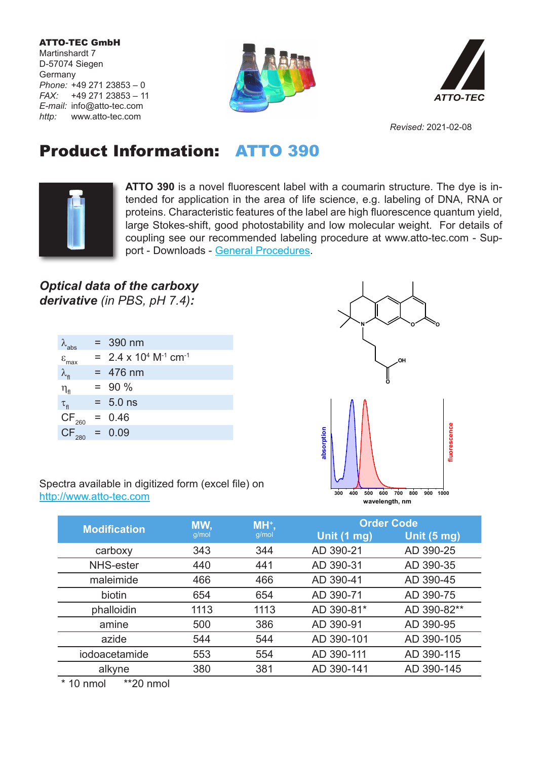ATTO-TEC GmbH Martinshardt 7 D-57074 Siegen **Germany** *Phone:* +49 271 23853 – 0 *FAX:* +49 271 23853 – 11 *E-mail:* info@atto-tec.com *http:* www.atto-tec.com





*Revised:* 2021-02-08

## Product Information: ATTO 390



**ATTO 390** is a novel fluorescent label with a coumarin structure. The dye is intended for application in the area of life science, e.g. labeling of DNA, RNA or proteins. Characteristic features of the label are high fluorescence quantum yield, large Stokes-shift, good photostability and low molecular weight. For details of coupling see our recommended labeling procedure at www.atto-tec.com - Support - Downloads - General Procedures.

## *Optical data of the carboxy derivative (in PBS, pH 7.4):*

| $\lambda$ <sub>abs</sub>     | $= 390$ nm                                             |
|------------------------------|--------------------------------------------------------|
| $\varepsilon$ <sub>max</sub> | $= 2.4 \times 10^{4}$ M <sup>-1</sup> cm <sup>-1</sup> |
| $\lambda_{\sf fl}$           | $= 476$ nm                                             |
| $\eta_{\text{fl}}$           | $= 90 \%$                                              |
| $\tau_{\rm fl}$              | $= 5.0$ ns                                             |
| $CF_{260}$                   | $= 0.46$                                               |
| $CF_{\infty} = 0.09$         |                                                        |
|                              |                                                        |



Spectra available in digitized form (excel file) on http://www.atto-tec.com

|                     | MW,<br>g/mol | MH <sup>+</sup> ,<br>g/mol | <b>Order Code</b> |             |
|---------------------|--------------|----------------------------|-------------------|-------------|
| <b>Modification</b> |              |                            | Unit (1 mg)       | Unit (5 mg) |
| carboxy             | 343          | 344                        | AD 390-21         | AD 390-25   |
| NHS-ester           | 440          | 441                        | AD 390-31         | AD 390-35   |
| maleimide           | 466          | 466                        | AD 390-41         | AD 390-45   |
| biotin              | 654          | 654                        | AD 390-71         | AD 390-75   |
| phalloidin          | 1113         | 1113                       | AD 390-81*        | AD 390-82** |
| amine               | 500          | 386                        | AD 390-91         | AD 390-95   |
| azide               | 544          | 544                        | AD 390-101        | AD 390-105  |
| iodoacetamide       | 553          | 554                        | AD 390-111        | AD 390-115  |
| alkyne              | 380          | 381                        | AD 390-141        | AD 390-145  |
|                     |              |                            |                   |             |

\* 10 nmol \*\*20 nmol